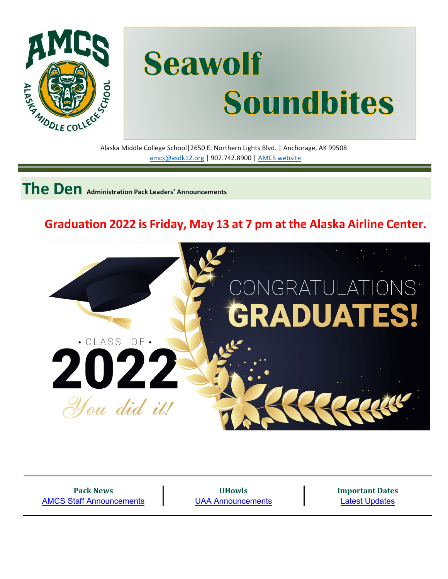

# **Seawolf** Alaska Middle College School|2650 E. Northern Lights Blvd. | Anchorage, AK 99508 **Soundbites**

[amcs@asdk12.org](mailto:amcs@asdk12.org) | 907.742.8900 | AMCS [website](https://www.asdk12.org/amcs)

**The Den Administration Pack Leaders' Announcements**

## **Graduation 2022 is Friday, May 13 at 7 pm at the Alaska Airline Center.**



**Pack News** [AMCS Staff Announcements](#page-3-0)

**UHowls** [UAA Announcements](#page-3-1) **Important Dates** Latest Updates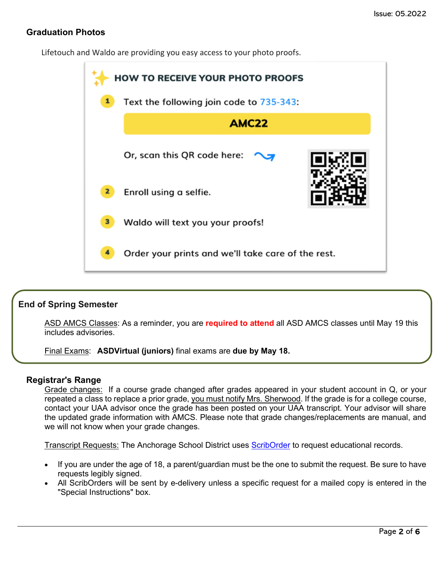#### **Graduation Photos**

Lifetouch and Waldo are providing you easy access to your photo proofs.



#### **End of Spring Semester**

ASD AMCS Classes: As a reminder, you are **required to attend** all ASD AMCS classes until May 19 this includes advisories.

Final Exams: **ASDVirtual (juniors)** final exams are **due by May 18.**

#### **Registrar's Range**

Grade changes: If a course grade changed after grades appeared in your student account in Q, or your repeated a class to replace a prior grade, you must notify Mrs. Sherwood. If the grade is for a college course, contact your UAA advisor once the grade has been posted on your UAA transcript. Your advisor will share the updated grade information with AMCS. Please note that grade changes/replacements are manual, and we will not know when your grade changes.

Transcript Requests: The Anchorage School District uses [ScribOrder](https://anchorageak.scriborder.com/) to request educational records.

- If you are under the age of 18, a parent/guardian must be the one to submit the request. Be sure to have requests legibly signed.
- All ScribOrders will be sent by e-delivery unless a specific request for a mailed copy is entered in the "Special Instructions" box.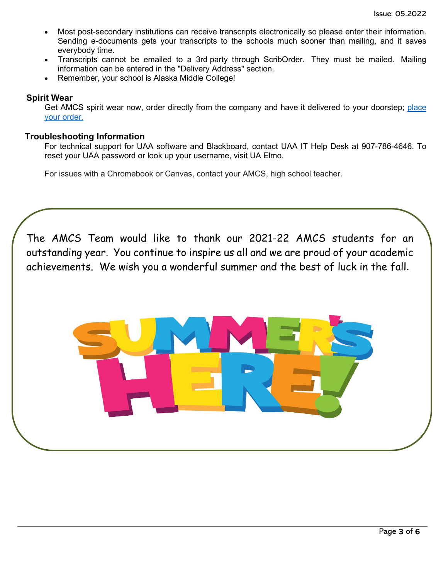- Most post-secondary institutions can receive transcripts electronically so please enter their information. Sending e-documents gets your transcripts to the schools much sooner than mailing, and it saves everybody time.
- Transcripts cannot be emailed to a 3rd party through ScribOrder. They must be mailed. Mailing information can be entered in the "Delivery Address" section.
- Remember, your school is Alaska Middle College!

#### **Spirit Wear**

Get AMCS spirit wear now, order directly from the company and have it delivered to your doorstep; [place](http://www.tntsportsalaska.com/alaska-middle-college-school) your [order.](http://www.tntsportsalaska.com/alaska-middle-college-school)

#### **Troubleshooting Information**

For technical support for UAA software and Blackboard, contact UAA IT Help Desk at 907-786-4646. To reset your UAA password or look up your username, visit [UA Elmo.](https://elmo.alaska.edu/) 

For issues with a Chromebook or Canvas, contact your AMCS, high school teacher.

The AMCS Team would like to thank our 2021-22 AMCS students for an outstanding year. You continue to inspire us all and we are proud of your academic achievements. We wish you a wonderful summer and the best of luck in the fall.

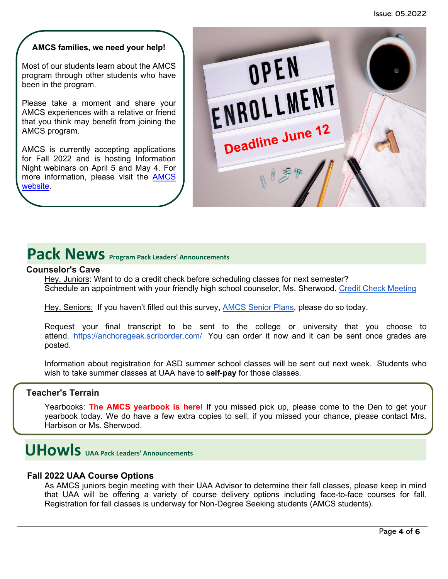#### **AMCS families, we need your help!**

Most of our students learn about the AMCS program through other students who have been in the program.

Please take a moment and share your AMCS experiences with a relative or friend that you think may benefit from joining the AMCS program.

AMCS is currently accepting applications for Fall 2022 and is hosting Information Night webinars on April 5 and May 4. For more information, please visit the [AMCS](https://www.asdk12.org/domain/1893)  [website.](https://www.asdk12.org/domain/1893)



## <span id="page-3-0"></span>Pack News **Program Pack Leaders' Announcements**

#### **Counselor's Cave**

Hey, Juniors: Want to do a credit check before scheduling classes for next semester? Schedule an appointment with your friendly high school counselor, Ms. Sherwood. Credit Check [Meeting](https://nam12.safelinks.protection.outlook.com/?url=https%3A%2F%2Fcalendly.com%2Famcs_counselor%2Fconsult-with-ms-sherwood&data=04%7C01%7CGriffis_Kimberly%40asdk12.org%7Cf9e854b57b9a46a8792008da1294b6b1%7C036ce601e95a4e46a3bd6b742ed4bb35%7C0%7C0%7C637842727165969718%7CUnknown%7CTWFpbGZsb3d8eyJWIjoiMC4wLjAwMDAiLCJQIjoiV2luMzIiLCJBTiI6Ik1haWwiLCJXVCI6Mn0%3D%7C3000&sdata=uJErILruv2nlH30ZXB2zv8sfsjhpOa92ZtiB1Ij5tfQ%3D&reserved=0)

Hey, Seniors: If you haven't filled out this survey, [AMCS](https://nam12.safelinks.protection.outlook.com/?url=https%3A%2F%2Fforms.gle%2FcuPL8xvJYTmKDypX6&data=04%7C01%7CGriffis_Kimberly%40asdk12.org%7Cf9e854b57b9a46a8792008da1294b6b1%7C036ce601e95a4e46a3bd6b742ed4bb35%7C0%7C0%7C637842727165969718%7CUnknown%7CTWFpbGZsb3d8eyJWIjoiMC4wLjAwMDAiLCJQIjoiV2luMzIiLCJBTiI6Ik1haWwiLCJXVCI6Mn0%3D%7C3000&sdata=QEbQqWT92Q4HmJdLmFlS0AFiUDyjZS8OheXvkYi0eAQ%3D&reserved=0) Senior Plans, please do so today.

Request your final transcript to be sent to the college or university that you choose to attend. [https://anchorageak.scriborder.com/](https://nam12.safelinks.protection.outlook.com/?url=https%3A%2F%2Fanchorageak.scriborder.com%2F&data=04%7C01%7CGriffis_Kimberly%40asdk12.org%7Cf9e854b57b9a46a8792008da1294b6b1%7C036ce601e95a4e46a3bd6b742ed4bb35%7C0%7C0%7C637842727165969718%7CUnknown%7CTWFpbGZsb3d8eyJWIjoiMC4wLjAwMDAiLCJQIjoiV2luMzIiLCJBTiI6Ik1haWwiLCJXVCI6Mn0%3D%7C3000&sdata=629nBySU%2BcZ5an7%2BcwMLPJ1wK%2BudFvzqy1A8s2LeMLc%3D&reserved=0) You can order it now and it can be sent once grades are posted.

Information about registration for ASD summer school classes will be sent out next week. Students who wish to take summer classes at UAA have to **self-pay** for those classes.

#### **Teacher's Terrain**

Yearbooks: **The AMCS yearbook is here!** If you missed pick up, please come to the Den to get your yearbook today. We do have a few extra copies to sell, if you missed your chance, please contact Mrs. Harbison or Ms. Sherwood.

## <span id="page-3-1"></span>**UHowls UAA Pack Leaders' Announcements**

#### **Fall 2022 UAA Course Options**

As AMCS juniors begin meeting with their UAA Advisor to determine their fall classes, please keep in mind that UAA will be offering a variety of course delivery options including face-to-face courses for fall. Registration for fall classes is underway for Non-Degree Seeking students (AMCS students).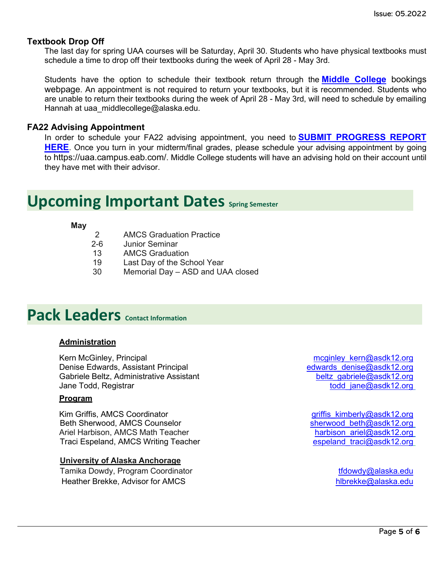#### **Textbook Drop Off**

The last day for spring UAA courses will be Saturday, April 30. Students who have physical textbooks must schedule a time to drop off their textbooks during the week of April 28 - May 3rd.

Students have the option to schedule their textbook return through the **[Middle College](https://nam12.safelinks.protection.outlook.com/?url=https%3A%2F%2Foutlook.office365.com%2Fowa%2Fcalendar%2FMiddleCollege1%40O365.alaska.edu%2Fbookings%2Fs%2F5j-j_4BZXU6SmjxGVMWsMA2&data=05%7C01%7Cgriffis_kimberly%40asdk12.org%7C4046334d85ad436c14e408da2a2ad5d6%7C036ce601e95a4e46a3bd6b742ed4bb35%7C0%7C0%7C637868660756593812%7CUnknown%7CTWFpbGZsb3d8eyJWIjoiMC4wLjAwMDAiLCJQIjoiV2luMzIiLCJBTiI6Ik1haWwiLCJXVCI6Mn0%3D%7C3000%7C%7C%7C&sdata=%2BxJk3RAfEm%2Fe8NkiTd%2F%2FoZr%2B5AAEixuag09%2Fa0H%2BJq0%3D&reserved=0)** bookings [webpage.](https://nam12.safelinks.protection.outlook.com/?url=https%3A%2F%2Foutlook.office365.com%2Fowa%2Fcalendar%2FMiddleCollege1%40O365.alaska.edu%2Fbookings%2Fs%2F5j-j_4BZXU6SmjxGVMWsMA2&data=05%7C01%7Cgriffis_kimberly%40asdk12.org%7C4046334d85ad436c14e408da2a2ad5d6%7C036ce601e95a4e46a3bd6b742ed4bb35%7C0%7C0%7C637868660756593812%7CUnknown%7CTWFpbGZsb3d8eyJWIjoiMC4wLjAwMDAiLCJQIjoiV2luMzIiLCJBTiI6Ik1haWwiLCJXVCI6Mn0%3D%7C3000%7C%7C%7C&sdata=%2BxJk3RAfEm%2Fe8NkiTd%2F%2FoZr%2B5AAEixuag09%2Fa0H%2BJq0%3D&reserved=0) An appointment is not required to return your textbooks, but it is recommended. Students who are unable to return their textbooks during the week of April 28 - May 3rd, will need to schedule by emailing Hannah at uaa\_middlecollege@alaska.edu.

#### **FA22 Advising Appointment**

In order to schedule your FA22 advising appointment, you need to **[SUBMIT PROGRESS REPORT](https://nam12.safelinks.protection.outlook.com/?url=https%3A%2F%2Fuaa.co1.qualtrics.com%2Fjfe%2Fform%2FSV_bQ8Qm95rtCBOW1M&data=05%7C01%7Cgriffis_kimberly%40asdk12.org%7C4046334d85ad436c14e408da2a2ad5d6%7C036ce601e95a4e46a3bd6b742ed4bb35%7C0%7C0%7C637868660756593812%7CUnknown%7CTWFpbGZsb3d8eyJWIjoiMC4wLjAwMDAiLCJQIjoiV2luMzIiLCJBTiI6Ik1haWwiLCJXVCI6Mn0%3D%7C3000%7C%7C%7C&sdata=Qi2qsbsWkbd3Qfn7%2BXpE%2Fs1meDOlrMo%2FPkkpLf1Y190%3D&reserved=0)  [HERE](https://nam12.safelinks.protection.outlook.com/?url=https%3A%2F%2Fuaa.co1.qualtrics.com%2Fjfe%2Fform%2FSV_bQ8Qm95rtCBOW1M&data=05%7C01%7Cgriffis_kimberly%40asdk12.org%7C4046334d85ad436c14e408da2a2ad5d6%7C036ce601e95a4e46a3bd6b742ed4bb35%7C0%7C0%7C637868660756593812%7CUnknown%7CTWFpbGZsb3d8eyJWIjoiMC4wLjAwMDAiLCJQIjoiV2luMzIiLCJBTiI6Ik1haWwiLCJXVCI6Mn0%3D%7C3000%7C%7C%7C&sdata=Qi2qsbsWkbd3Qfn7%2BXpE%2Fs1meDOlrMo%2FPkkpLf1Y190%3D&reserved=0)**. Once you turn in your midterm/final grades, please schedule your advising appointment by going to [https://uaa.campus.eab.com/.](https://nam12.safelinks.protection.outlook.com/?url=https%3A%2F%2Fuaa.campus.eab.com%2F&data=05%7C01%7Cgriffis_kimberly%40asdk12.org%7C4046334d85ad436c14e408da2a2ad5d6%7C036ce601e95a4e46a3bd6b742ed4bb35%7C0%7C0%7C637868660756593812%7CUnknown%7CTWFpbGZsb3d8eyJWIjoiMC4wLjAwMDAiLCJQIjoiV2luMzIiLCJBTiI6Ik1haWwiLCJXVCI6Mn0%3D%7C3000%7C%7C%7C&sdata=%2B3tI8ETFJ%2BxIE2y3PLjIxTa5Rl0mhmA3CHdo9IRhzXI%3D&reserved=0) Middle College students will have an advising hold on their account until they have met with their advisor.

## **Upcoming Important Dates Spring Semester**

#### **May**

- 2 AMCS Graduation Practice
- 2-6 Junior Seminar
- 13 AMCS Graduation
- 19 Last Day of the School Year
- 30 Memorial Day ASD and UAA closed

## **Pack Leaders Contact Information**

#### **Administration**

Kern McGinley, Principal metal metal metal metal metal meginley kern@asdk12.org Denise Edwards, Assistant Principal edwards denise@asdk12.org Gabriele Beltz, Administrative Assistant beltz abriele@asdk12.org Jane Todd, Registrar todd and the state of the state of the state of the state of the state of the state of the state of the state of the state of the state of the state of the state of the state of the state of the state

#### **Program**

Kim Griffis, AMCS Coordinator **griffis** kimberly@asdk12.org Beth Sherwood, AMCS Counselor sherwood beth as a sherwood beth as a sherwood beth as a sherwood beth as a sherwood beth as a sherwood beth as a sherwood beth as a sherwood beth as a sherwood beth as a sherwood beth as a sh Ariel Harbison, AMCS Math Teacher harbison ariel@asdk12.org Traci Espeland, AMCS Writing Teacher espectrum of the espeland traci@asdk12.org

#### **University of Alaska Anchorage**

Tamika Dowdy, Program Coordinator the theory of the three transitions of the transition of the transition of the transition of the transition of the transition of the transition of the transition of the transition of the t Heather Brekke, Advisor for AMCS **hlbrekke@alaska.edu**